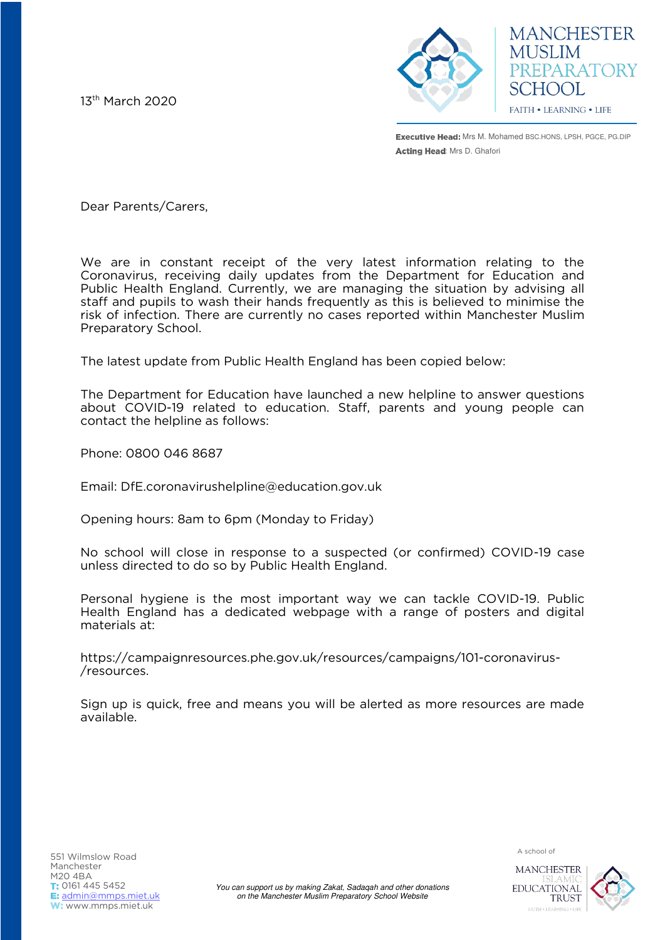13th March 2020



**MANCHESTER MUSLIM** PREPARATORY SCHOOL FAITH . LEARNING . LIFE

**Executive Head:** Mrs M. Mohamed BSC.HONS, LPSH, PGCE, PG.DIP Acting Head: Mrs D. Ghafori

Dear Parents/Carers,

We are in constant receipt of the very latest information relating to the Coronavirus, receiving daily updates from the Department for Education and Public Health England. Currently, we are managing the situation by advising all staff and pupils to wash their hands frequently as this is believed to minimise the risk of infection. There are currently no cases reported within Manchester Muslim Preparatory School.

The latest update from Public Health England has been copied below:

The Department for Education have launched a new helpline to answer questions about COVID-19 related to education. Staff, parents and young people can contact the helpline as follows:

Phone: 0800 046 8687

Email: DfE.coronavirushelpline@education.gov.uk

Opening hours: 8am to 6pm (Monday to Friday)

No school will close in response to a suspected (or confirmed) COVID-19 case unless directed to do so by Public Health England.

Personal hygiene is the most important way we can tackle COVID-19. Public Health England has a dedicated webpage with a range of posters and digital materials at:

https://campaignresources.phe.gov.uk/resources/campaigns/101-coronavirus- /resources.

Sign up is quick, free and means you will be alerted as more resources are made available.

A school of 551 Wilmslow Road